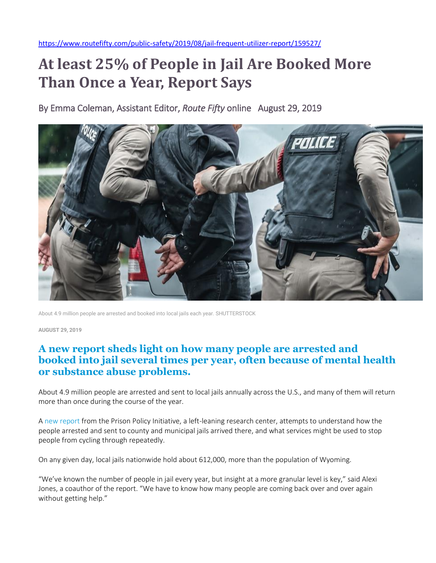## **At least 25% of People in Jail Are Booked More Than Once a Year, Report Says**

By Emma Coleman, Assistant Editor, *Route Fifty* online August 29, 2019



About 4.9 million people are arrested and booked into local jails each year. SHUTTERSTOCK

**AUGUST 29, 2019**

## **A new report sheds light on how many people are arrested and booked into jail several times per year, often because of mental health or substance abuse problems.**

About 4.9 million people are arrested and sent to local jails annually across the U.S., and many of them will return more than once during the course of the year.

A [new report](https://www.prisonpolicy.org/blog/2019/08/26/arrests-report/) from the Prison Policy Initiative, a left-leaning research center, attempts to understand how the people arrested and sent to county and municipal jails arrived there, and what services might be used to stop people from cycling through repeatedly.

On any given day, local jails nationwide hold about 612,000, more than the population of Wyoming.

"We've known the number of people in jail every year, but insight at a more granular level is key," said Alexi Jones, a coauthor of the report. "We have to know how many people are coming back over and over again without getting help."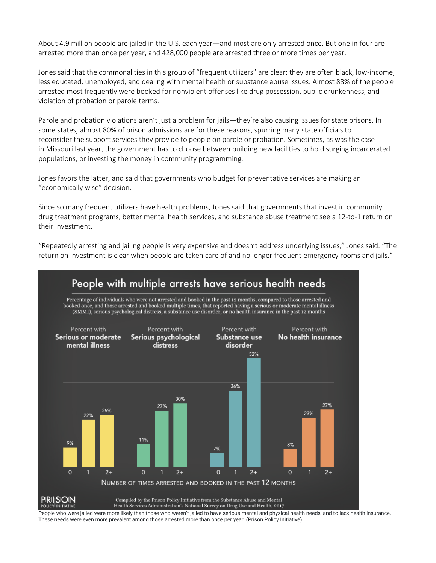About 4.9 million people are jailed in the U.S. each year—and most are only arrested once. But one in four are arrested more than once per year, and 428,000 people are arrested three or more times per year.

Jones said that the commonalities in this group of "frequent utilizers" are clear: they are often black, low-income, less educated, unemployed, and dealing with mental health or substance abuse issues. Almost 88% of the people arrested most frequently were booked for nonviolent offenses like drug possession, public drunkenness, and violation of probation or parole terms.

Parole and probation violations aren't just a problem for jails—they're also causing issues for state prisons. In some states, almost 80% of prison admissions are for these reasons, spurring many [state officials to](https://www.routefifty.com/public-safety/2019/06/parole-and-probation-violations-are-filling-state-prisons/157815/)  [reconsider](https://www.routefifty.com/public-safety/2019/06/parole-and-probation-violations-are-filling-state-prisons/157815/) the support services they provide to people on parole or probation. Sometimes, as was the case in [Missouri last year,](https://www.routefifty.com/public-safety/2019/06/parole-and-probation-violations-are-filling-state-prisons/157815/) the government has to choose between building new facilities to hold surging incarcerated populations, or investing the money in community programming.

Jones favors the latter, and said that governments who budget for preventative services are making an "economically wise" decision.

Since so many frequent utilizers have health problems, Jones said that governments that invest in community drug treatment programs, better mental health services, and substance abuse treatment see a [12-to-1 return](https://www.drugabuse.gov/publications/principles-drug-addiction-treatment-research-based-guide-third-edition/frequently-asked-questions/drug-addiction-treatment-worth-its-cost) on their investment.

"Repeatedly arresting and jailing people is very expensive and doesn't address underlying issues," Jones said. "The return on investment is clear when people are taken care of and no longer frequent emergency rooms and jails."



People who were jailed were more likely than those who weren't jailed to have serious mental and physical health needs, and to lack health insurance. These needs were even more prevalent among those arrested more than once per year. (Prison Policy Initiative)